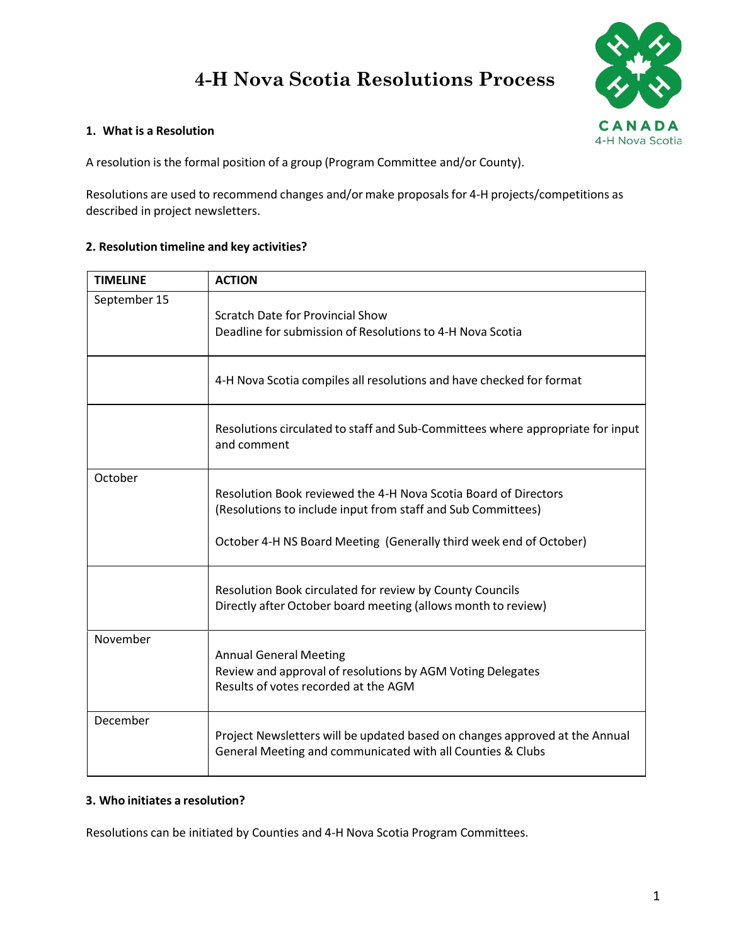# **4-H Nova Scotia Resolutions Process**



# **1. What is a Resolution**

A resolution is the formal position of a group (Program Committee and/or County).

Resolutions are used to recommend changes and/or make proposals for 4-H projects/competitions as described in project newsletters.

# **2. Resolution timeline and key activities?**

| <b>TIMELINE</b> | <b>ACTION</b>                                                                                                                                                                                         |  |
|-----------------|-------------------------------------------------------------------------------------------------------------------------------------------------------------------------------------------------------|--|
| September 15    | Scratch Date for Provincial Show<br>Deadline for submission of Resolutions to 4-H Nova Scotia                                                                                                         |  |
|                 | 4-H Nova Scotia compiles all resolutions and have checked for format                                                                                                                                  |  |
|                 | Resolutions circulated to staff and Sub-Committees where appropriate for input<br>and comment                                                                                                         |  |
| October         | Resolution Book reviewed the 4-H Nova Scotia Board of Directors<br>(Resolutions to include input from staff and Sub Committees)<br>October 4-H NS Board Meeting (Generally third week end of October) |  |
|                 | Resolution Book circulated for review by County Councils<br>Directly after October board meeting (allows month to review)                                                                             |  |
| November        | <b>Annual General Meeting</b><br>Review and approval of resolutions by AGM Voting Delegates<br>Results of votes recorded at the AGM                                                                   |  |
| December        | Project Newsletters will be updated based on changes approved at the Annual<br>General Meeting and communicated with all Counties & Clubs                                                             |  |

# **3. Who initiates a resolution?**

Resolutions can be initiated by Counties and 4-H Nova Scotia Program Committees.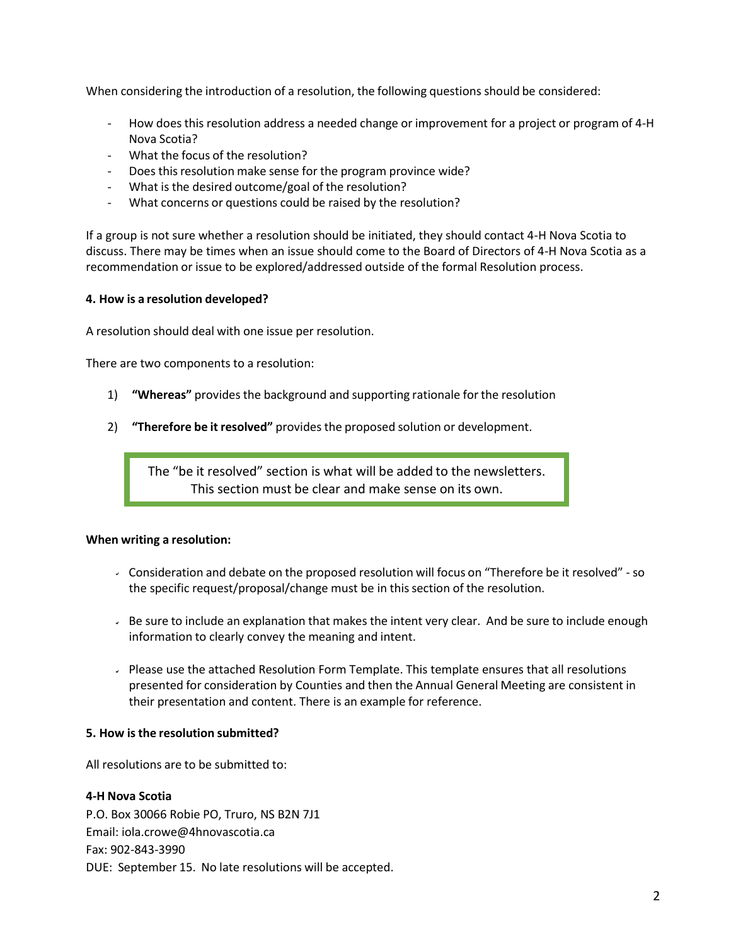When considering the introduction of a resolution, the following questions should be considered:

- How does this resolution address a needed change or improvement for a project or program of 4-H Nova Scotia?
- What the focus of the resolution?
- Does this resolution make sense for the program province wide?
- What is the desired outcome/goal of the resolution?
- What concerns or questions could be raised by the resolution?

If a group is not sure whether a resolution should be initiated, they should contact 4-H Nova Scotia to discuss. There may be times when an issue should come to the Board of Directors of 4-H Nova Scotia as a recommendation or issue to be explored/addressed outside of the formal Resolution process.

# **4. How is a resolution developed?**

A resolution should deal with one issue per resolution.

There are two components to a resolution:

- 1) **"Whereas"** providesthe background and supporting rationale forthe resolution
- 2) **"Therefore be it resolved"** provides the proposed solution or development.

The "be it resolved" section is what will be added to the newsletters. This section must be clear and make sense on its own.

# **When writing a resolution:**

- Consideration and debate on the proposed resolution will focus on "Therefore be it resolved" so the specific request/proposal/change must be in thissection of the resolution.
- Be sure to include an explanation that makes the intent very clear. And be sure to include enough information to clearly convey the meaning and intent.
- Please use the attached Resolution Form Template. This template ensures that all resolutions presented for consideration by Counties and then the Annual General Meeting are consistent in their presentation and content. There is an example for reference.

#### **5. How isthe resolution submitted?**

All resolutions are to be submitted to:

# **4-H Nova Scotia**

P.O. Box 30066 Robie PO, Truro, NS B2N 7J1 Email: [iola.crowe@4hnovascotia.ca](mailto:iola.crowe@4hnovascotia.ca) Fax: 902-843-3990 DUE: September 15. No late resolutions will be accepted.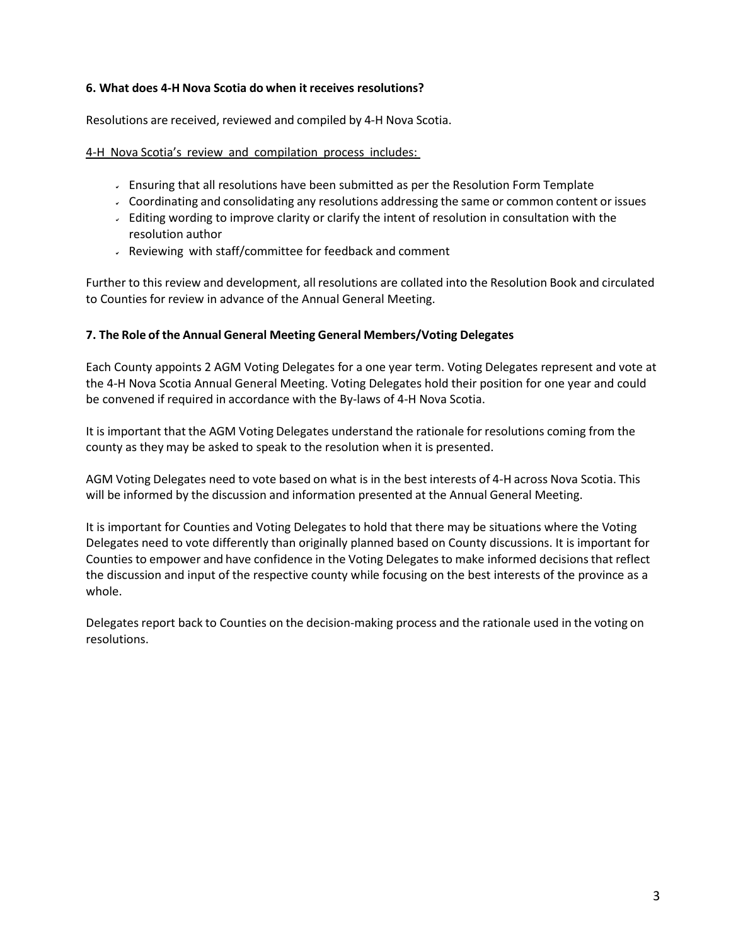# **6. What does 4-H Nova Scotia do when it receives resolutions?**

Resolutions are received, reviewed and compiled by 4-H Nova Scotia.

# 4-H Nova Scotia's review and compilation process includes:

- Ensuring that all resolutions have been submitted as per the Resolution Form Template
- Coordinating and consolidating any resolutions addressing the same or common content or issues
- Editing wording to improve clarity or clarify the intent of resolution in consultation with the resolution author
- $\sim$  Reviewing with staff/committee for feedback and comment

Further to this review and development, all resolutions are collated into the Resolution Book and circulated to Counties for review in advance of the Annual General Meeting.

# **7. The Role of the Annual General Meeting General Members/Voting Delegates**

Each County appoints 2 AGM Voting Delegates for a one year term. Voting Delegates represent and vote at the 4-H Nova Scotia Annual General Meeting. Voting Delegates hold their position for one year and could be convened if required in accordance with the By-laws of 4-H Nova Scotia.

It is important that the AGM Voting Delegates understand the rationale for resolutions coming from the county as they may be asked to speak to the resolution when it is presented.

AGM Voting Delegates need to vote based on what is in the best interests of 4-H across Nova Scotia. This will be informed by the discussion and information presented at the Annual General Meeting.

It is important for Counties and Voting Delegates to hold that there may be situations where the Voting Delegates need to vote differently than originally planned based on County discussions. It is important for Counties to empower and have confidence in the Voting Delegates to make informed decisionsthat reflect the discussion and input of the respective county while focusing on the best interests of the province as a whole.

Delegates report back to Counties on the decision-making process and the rationale used in the voting on resolutions.